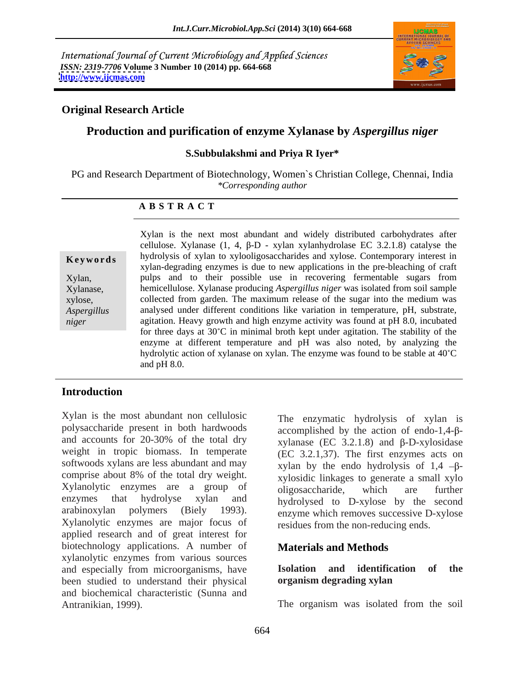International Journal of Current Microbiology and Applied Sciences *ISSN: 2319-7706* **Volume 3 Number 10 (2014) pp. 664-668 <http://www.ijcmas.com>**



### **Original Research Article**

### **Production and purification of enzyme Xylanase by** *Aspergillus niger*

### **S.Subbulakshmi and Priya R Iyer\***

PG and Research Department of Biotechnology, Women`s Christian College, Chennai, India *\*Corresponding author* 

### **A B S T R A C T**

**Keywords** hydrolysis of xylan to xylooligosaccharides and xylose. Contemporary interest in Xylan, pulps and to their possible use in recovering fermentable sugars from Xylanase, hemicellulose. Xylanase producing *Aspergillus niger* was isolated from soil sample xylose, collected from garden. The maximum release of the sugar into the medium was *Aspergillus*  analysed under different conditions like variation in temperature, pH, substrate, *niger* agitation. Heavy growth and high enzyme activity was found at pH 8.0, incubated Xylan is the next most abundant and widely distributed carbohydrates after cellulose. Xylanase  $(1, 4, \beta-D - xy \text{lan xy} \text{lambday} \text{d} \text{or} \text{box} \text{EC}$  3.2.1.8) catalyse the xylan-degrading enzymes is due to new applications in the pre-bleaching of craft for three days at  $30^{\circ}$ C in minimal broth kept under agitation. The stability of the enzyme at different temperature and pH was also noted, by analyzing the hydrolytic action of xylanase on xylan. The enzyme was found to be stable at 40°C and pH 8.0.

### **Introduction**

Xylan is the most abundant non cellulosic polysaccharide present in both hardwoods and accounts for 20-30% of the total dry weight in tropic biomass. In temperate softwoods xylans are less abundant and may comprise about 8% of the total dry weight. Xylanolytic enzymes are a group of oligosaccharide, which are further enzymes that hydrolyse xylan and hydrolysed to D-xylose by the second arabinoxylan polymers (Biely 1993). enzyme which removes successive D-xylose Xylanolytic enzymes are major focus of applied research and of great interest for biotechnology applications. A number of xylanolytic enzymes from various sources and especially from microorganisms, have **Isolation and identification of the** been studied to understand their physical **organism degrading xylan** been studied to understand their physical and biochemical characteristic (Sunna and Antranikian, 1999). The organism was isolated from the soil

The enzymatic hydrolysis of xylan is accomplished by the action of endo-1,4- $\beta$ xylanase (EC 3.2.1.8) and  $\beta$ -D-xylosidase (EC 3.2.1,37). The first enzymes acts on xylan by the endo hydrolysis of  $1,4$  - $\beta$ xylosidic linkages to generate a small xylo oligosaccharide, which are further residues from the non-reducing ends.

### **Materials and Methods**

### **Isolation and identification of the organism degrading xylan**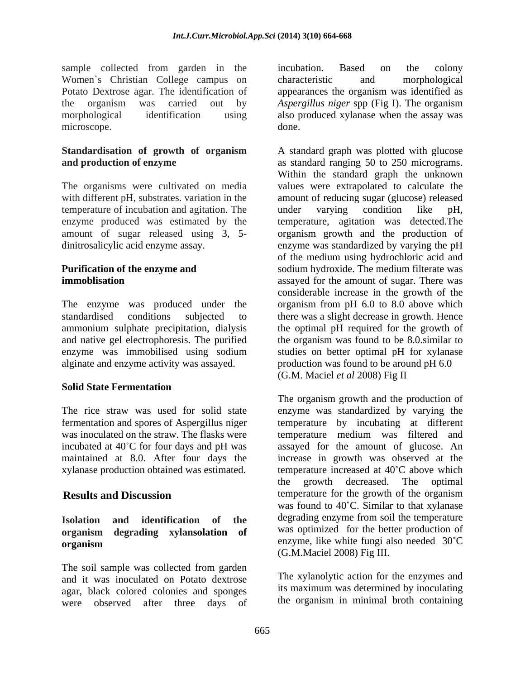sample collected from garden in the incubation. Based on the colony Women's Christian College campus on characteristic and morphological Potato Dextrose agar. The identification of appearances the organism was identified as the organism was carried out by *Aspergillus niger* spp (Fig I). The organism morphological identification using also produced xylanase when the assay was microscope. done. done.

## **Standardisation of growth of organism**

temperature of incubation and agitation. The under varying condition like pH,

enzyme was immobilised using sodium alginate and enzyme activity was assayed.

### **Solid State Fermentation**

xylanase production obtained was estimated.

# **organism degrading xylansolation of**

The soil sample was collected from garden<br>and it was inoculated on Potato devices<br>The xylanolytic action for the enzymes and and it was inoculated on Potato dextrose agar, black colored colonies and sponges were observed after three days of

incubation. Based on the colony characteristic and morphological done.

**and production of enzyme as standard ranging 50 to 250 micrograms.** The organisms were cultivated on media values were extrapolated to calculate the with different pH, substrates. variation in the amount of reducing sugar (glucose) released enzyme produced was estimated by the temperature, agitation was detected. The amount of sugar released using 3, 5- organism growth and the production of dinitrosalicylic acid enzyme assay. enzyme was standardized by varying the pH **Purification of the enzyme and** sodium hydroxide. The medium filterate was **immoblisation** assayed for the amount of sugar. There was The enzyme was produced under the organism from pH 6.0 to 8.0 above which standardised conditions subjected to there was a slight decrease in growth. Hence ammonium sulphate precipitation, dialysis the optimal pH required for the growth of and native gel electrophoresis. The purified the organism was found to be 8.0.similar to A standard graph was plotted with glucose Within the standard graph the unknown under varying condition like pH, of the medium using hydrochloric acid and considerable increase in the growth of the studies on better optimal pH for xylanase production was found to be around pH 6.0 (G.M. Maciel *et al* 2008) Fig II

The rice straw was used for solid state enzyme was standardized by varying the fermentation and spores of Aspergillus niger temperature by incubating at different was inoculated on the straw. The flasks were temperature medium was filtered and incubated at 40 C for four days and pH was assayed for the amount of glucose. An maintained at 8.0. After four days the increase in growth was observed at the **Results and Discussion** temperature for the growth of the organism **Isolation and identification of the organism** enzyme, like white fungi also needed 30 C The organism growth and the production of temperature increased at  $40^{\circ}$ C above which the growth decreased. The optimal was found to  $40^{\circ}$ C. Similar to that xylanase degrading enzyme from soil the temperature was optimized for the better production of enzyme, like white fungi also needed  $30^{\circ}$ C (G.M.Maciel 2008) Fig III.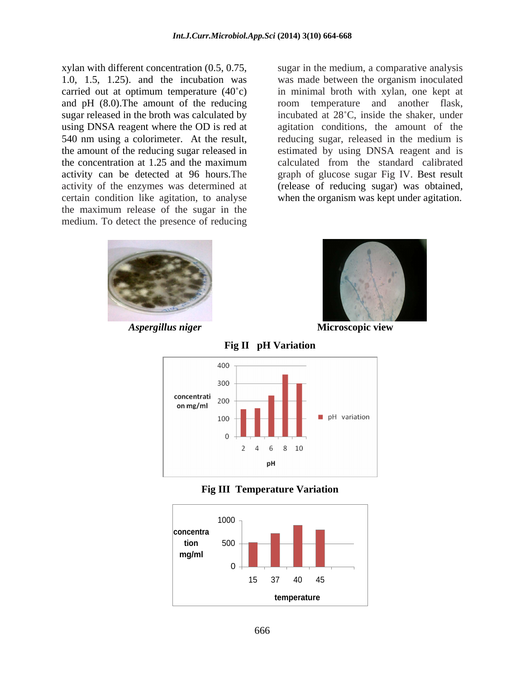carried out at optimum temperature  $(40^{\circ}c)$ sugar released in the broth was calculated by certain condition like agitation, to analyse when the organism was kept under agitation. the maximum release of the sugar in the medium. To detect the presence of reducing

xylan with different concentration (0.5, 0.75, sugar in the medium, a comparative analysis 1.0, 1.5, 1.25). and the incubation was was made between the organism inoculated and pH (8.0). The amount of the reducing room temperature and another flask, using DNSA reagent where the OD is red at agitation conditions, the amount of the 540 nm using a colorimeter. At the result, reducing sugar, released in the medium is the amount of the reducing sugar released in estimated by using DNSA reagent and is the concentration at 1.25 and the maximum activity can be detected at 96 hours.The graph of glucose sugar Fig IV. Best result activity of the enzymes was determined at (release of reducing sugar) was obtained, in minimal broth with xylan, one kept at incubated at 28°C, inside the shaker, under calculated from the standard calibrated





*Aspergillus niger* **Microscopic view**





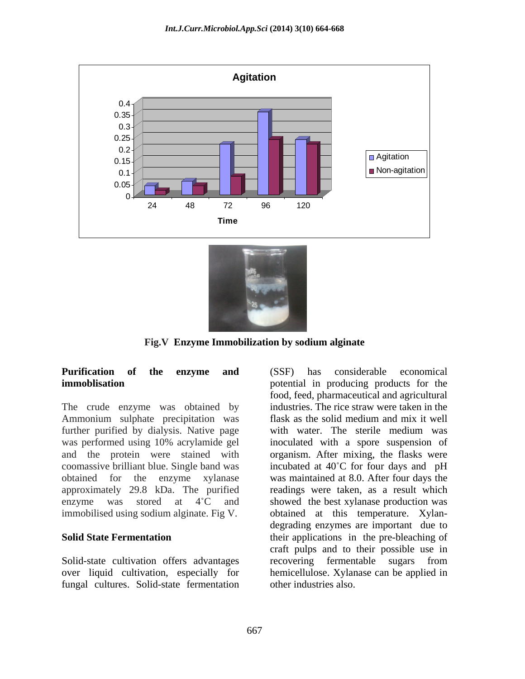



**Fig.V Enzyme Immobilization by sodium alginate**

The crude enzyme was obtained by Ammonium sulphate precipitation was flask as the solid medium and mix it well further purified by dialysis. Native page with water. The sterile medium was

fungal cultures. Solid-state fermentation

**Purification of the enzyme and immoblisation in producing products** for the was performed using 10% acrylamide gel inoculated with a spore suspension of and the protein were stained with organism. After mixing, the flasks were coomassive brilliant blue. Single band was incubated at 40 C for four days and pH obtained for the enzyme xylanase was maintained at 8.0. After four days the approximately 29.8 kDa. The purified readings were taken, as a result which enzyme was stored at  $4^{\circ}$ C and showed the best xylanase production was immobilised using sodium alginate. Fig V. obtained at this temperature. Xylan- **Solid State Fermentation** their applications in the pre-bleaching of Solid-state cultivation offers advantages recovering fermentable sugars from over liquid cultivation, especially for hemicellulose. Xylanase can be applied in (SSF) has considerable economical food, feed, pharmaceutical and agricultural industries. The rice straw were taken in the flask as the solid medium and mix it well with water. The sterile medium was degrading enzymes are important due to craft pulps and to their possible use in recovering fermentable sugars from other industries also.